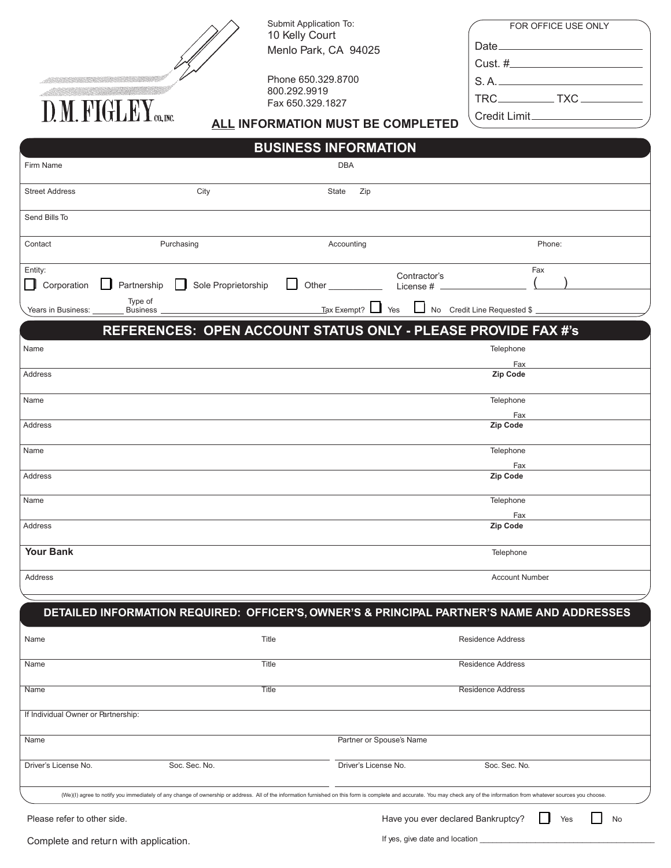|     | Submit Application To:<br>10 Kelly Court |
|-----|------------------------------------------|
|     | Menlo Park, CA 94025                     |
|     | Phone 650.329.8700                       |
|     | 800.292.9919                             |
|     | Fax 650.329.1827                         |
| A I | INIEADMATIAN MI ICT                      |

FOR OFFICE USE ONLY Date\_ Cust. # S. A.

TRC\_\_\_\_\_\_\_\_\_\_\_\_TXC\_\_\_

**ALL INFORMATION MUST BE COMPLETED** Credit Limit

|                                     |                                       |                                                                                                                                                                                                                               | <b>BUSINESS INFORMATION</b> |                                      |                                  |                                    |        |           |
|-------------------------------------|---------------------------------------|-------------------------------------------------------------------------------------------------------------------------------------------------------------------------------------------------------------------------------|-----------------------------|--------------------------------------|----------------------------------|------------------------------------|--------|-----------|
| Firm Name                           |                                       |                                                                                                                                                                                                                               |                             | DBA                                  |                                  |                                    |        |           |
| <b>Street Address</b>               |                                       | City                                                                                                                                                                                                                          | State                       | Zip                                  |                                  |                                    |        |           |
| Send Bills To                       |                                       |                                                                                                                                                                                                                               |                             |                                      |                                  |                                    |        |           |
| Contact                             |                                       | Purchasing                                                                                                                                                                                                                    |                             | Accounting                           |                                  |                                    | Phone: |           |
| Entity:<br>$\Box$<br>Corporation    | Partnership                           | Sole Proprietorship                                                                                                                                                                                                           | ΙI<br>Other                 |                                      | Contractor's<br>License #        |                                    | Fax    |           |
| Years in Business:                  | Type of<br><b>Business</b>            |                                                                                                                                                                                                                               |                             | $\frac{1}{2}$ Tax Exempt? $\Box$ Yes |                                  | No Credit Line Requested \$        |        |           |
|                                     |                                       | REFERENCES: OPEN ACCOUNT STATUS ONLY - PLEASE PROVIDE FAX #'s                                                                                                                                                                 |                             |                                      |                                  |                                    |        |           |
| Name                                |                                       |                                                                                                                                                                                                                               |                             |                                      |                                  | Telephone                          |        |           |
| Address                             |                                       |                                                                                                                                                                                                                               |                             |                                      |                                  | Fax<br>Zip Code                    |        |           |
| Name                                |                                       |                                                                                                                                                                                                                               |                             |                                      |                                  | Telephone                          |        |           |
| Address                             |                                       |                                                                                                                                                                                                                               |                             |                                      |                                  | Fax<br>Zip Code                    |        |           |
| Name                                |                                       |                                                                                                                                                                                                                               |                             |                                      |                                  | Telephone                          |        |           |
| Address                             |                                       |                                                                                                                                                                                                                               |                             |                                      |                                  | Fax<br>Zip Code                    |        |           |
| Name                                |                                       |                                                                                                                                                                                                                               |                             |                                      |                                  | Telephone                          |        |           |
| Address                             |                                       |                                                                                                                                                                                                                               |                             |                                      |                                  | Fax<br>Zip Code                    |        |           |
| <b>Your Bank</b>                    |                                       |                                                                                                                                                                                                                               |                             |                                      |                                  | Telephone                          |        |           |
| Address                             |                                       |                                                                                                                                                                                                                               |                             |                                      |                                  | <b>Account Number</b>              |        |           |
|                                     |                                       |                                                                                                                                                                                                                               |                             |                                      |                                  |                                    |        |           |
|                                     |                                       | DETAILED INFORMATION REQUIRED: OFFICER'S, OWNER'S & PRINCIPAL PARTNER'S NAME AND ADDRESSES                                                                                                                                    |                             |                                      |                                  |                                    |        |           |
| Name                                |                                       | Title                                                                                                                                                                                                                         |                             |                                      |                                  | Residence Address                  |        |           |
| Name                                |                                       | Title                                                                                                                                                                                                                         |                             |                                      |                                  | <b>Residence Address</b>           |        |           |
| Name                                |                                       | Title                                                                                                                                                                                                                         |                             |                                      |                                  | <b>Residence Address</b>           |        |           |
| If Individual Owner or Partnership: |                                       |                                                                                                                                                                                                                               |                             |                                      |                                  |                                    |        |           |
| Name                                |                                       |                                                                                                                                                                                                                               |                             | Partner or Spouse's Name             |                                  |                                    |        |           |
| Driver's License No.                |                                       | Soc. Sec. No.                                                                                                                                                                                                                 |                             | Driver's License No.                 |                                  | Soc. Sec. No.                      |        |           |
|                                     |                                       | (We)(I) agree to notify you immediately of any change of ownership or address. All of the information furnished on this form is complete and accurate. You may check any of the information from whatever sources you choose. |                             |                                      |                                  |                                    |        |           |
| Please refer to other side.         |                                       |                                                                                                                                                                                                                               |                             |                                      |                                  | Have you ever declared Bankruptcy? | Yes    | <b>No</b> |
|                                     | Complete and return with application. |                                                                                                                                                                                                                               |                             |                                      | If yes, give date and location _ |                                    |        |           |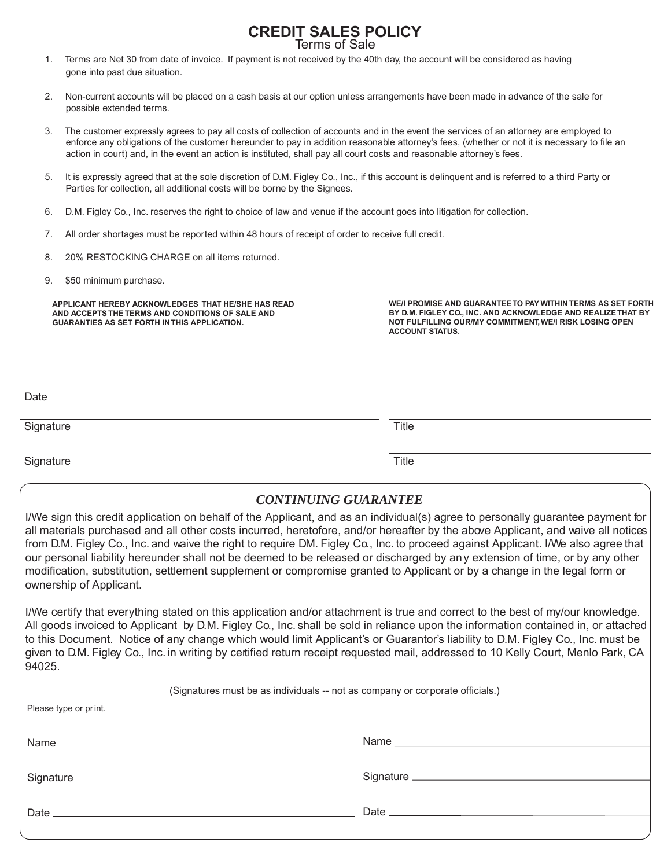## **CREDIT SALES POLICY** Terms of Sale

1. Terms are Net 30 from date of invoice. If payment is not received by the 40th day, the account will be considered as having gone into past due situation.

- 2. Non-current accounts will be placed on a cash basis at our option unless arrangements have been made in advance of the sale for possible extended terms.
- 3. The customer expressly agrees to pay all costs of collection of accounts and in the event the services of an attorney are employed to enforce any obligations of the customer hereunder to pay in addition reasonable attorney's fees, (whether or not it is necessary to file an action in court) and, in the event an action is instituted, shall pay all court costs and reasonable attorney's fees.
- 5. It is expressly agreed that at the sole discretion of D.M. Figley Co., Inc., if this account is delinquent and is referred to a third Party or Parties for collection, all additional costs will be borne by the Signees.
- 6. D.M. Figley Co., Inc. reserves the right to choice of law and venue if the account goes into litigation for collection.
- 7. All order shortages must be reported within 48 hours of receipt of order to receive full credit.
- 8. 20% RESTOCKING CHARGE on all items returned.
- 9. \$50 minimum purchase.

**APPLICANT HEREBY ACKNOWLEDGES THAT HE/SHE HAS READ AND ACCEPTS THE TERMS AND CONDITIONS OF SALE AND GUARANTIES AS SET FORTH IN THIS APPLICATION.**

**WE/I PROMISE AND GUARANTEE TO PAY WITHIN TERMS AS SET FORTH BY D.M. FIGLEY CO., INC. AND ACKNOWLEDGE AND REALIZE THAT BY NOT FULFILLING OUR/MY COMMITMENT, WE/I RISK LOSING OPEN ACCOUNT STATUS.**

| Date      |       |
|-----------|-------|
| Signature | Title |

Signature Title **Title** 

## *CONTINUING GUARANTEE*

I/We sign this credit application on behalf of the Applicant, and as an individual(s) agree to personally guarantee payment for all materials purchased and all other costs incurred, heretofore, and/or hereafter by the above Applicant, and waive all notices from D.M. Figley Co., Inc. and waive the right to require DM. Figley Co., Inc. to proceed against Applicant. I/We also agree that our personal liability hereunder shall not be deemed to be released or discharged by any extension of time, or by any other modification, substitution, settlement supplement or compromise granted to Applicant or by a change in the legal form or ownership of Applicant.

I/We certify that everything stated on this application and/or attachment is true and correct to the best of my/our knowledge. All goods invoiced to Applicant by D.M. Figley Co., Inc. shall be sold in reliance upon the information contained in, or attached to this Document. Notice of any change which would limit Applicant's or Guarantor's liability to D.M. Figley Co., Inc. must be given to D.M. Figley Co., Inc. in writing by certified return receipt requested mail, addressed to 10 Kelly Court, Menlo Park, CA 94025.

(Signatures must be as individuals -- not as company or corporate officials.) Please type or print. Name Signature<sub>—</sub> Date  $\equiv$ Name Signature Date